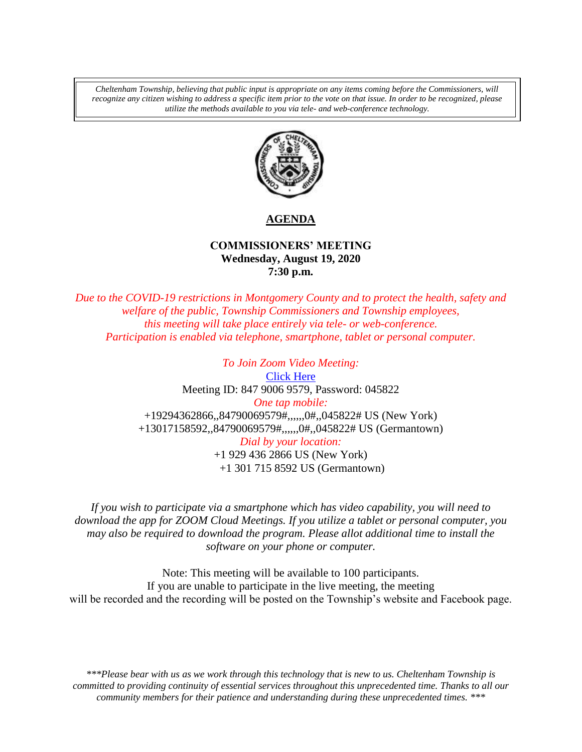*Cheltenham Township, believing that public input is appropriate on any items coming before the Commissioners, will recognize any citizen wishing to address a specific item prior to the vote on that issue. In order to be recognized, please utilize the methods available to you via tele- and web-conference technology.*



# **AGENDA**

## **COMMISSIONERS' MEETING Wednesday, August 19, 2020 7:30 p.m.**

*Due to the COVID-19 restrictions in Montgomery County and to protect the health, safety and welfare of the public, Township Commissioners and Township employees, this meeting will take place entirely via tele- or web-conference. Participation is enabled via telephone, smartphone, tablet or personal computer.*

> *To Join Zoom Video Meeting:* [Click Here](https://us02web.zoom.us/j/84790069579?pwd=S252dUxORCtqeHBCUU1iRHMzMTdndz09) Meeting ID: 847 9006 9579, Password: 045822 *One tap mobile:* +19294362866,,84790069579#,,,,,,0#,,045822# US (New York) +13017158592,,84790069579#,,,,,,0#,,045822# US (Germantown) *Dial by your location:* +1 929 436 2866 US (New York) +1 301 715 8592 US (Germantown)

*If you wish to participate via a smartphone which has video capability, you will need to download the app for ZOOM Cloud Meetings. If you utilize a tablet or personal computer, you may also be required to download the program. Please allot additional time to install the software on your phone or computer.* 

Note: This meeting will be available to 100 participants. If you are unable to participate in the live meeting, the meeting will be recorded and the recording will be posted on the Township's website and Facebook page.

*\*\*\*Please bear with us as we work through this technology that is new to us. Cheltenham Township is committed to providing continuity of essential services throughout this unprecedented time. Thanks to all our community members for their patience and understanding during these unprecedented times. \*\*\**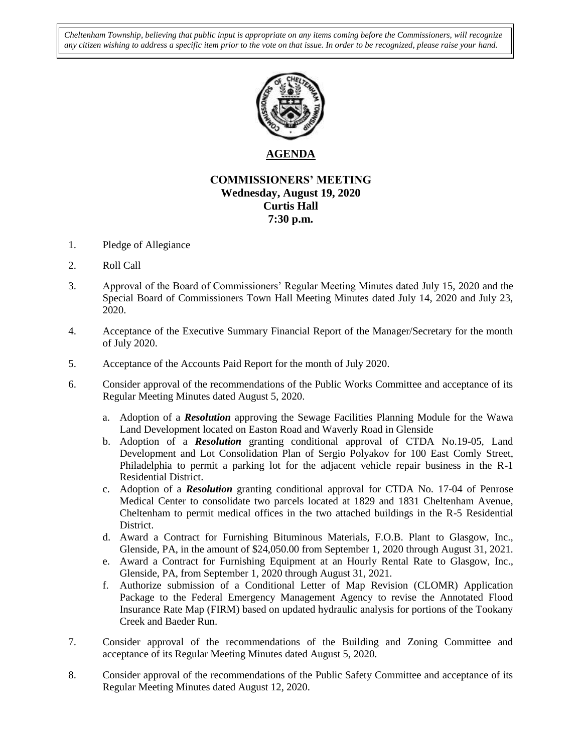*Cheltenham Township, believing that public input is appropriate on any items coming before the Commissioners, will recognize any citizen wishing to address a specific item prior to the vote on that issue. In order to be recognized, please raise your hand.*



## **AGENDA**

## **COMMISSIONERS' MEETING Wednesday, August 19, 2020 Curtis Hall 7:30 p.m.**

- 1. Pledge of Allegiance
- 2. Roll Call
- 3. Approval of the Board of Commissioners' Regular Meeting Minutes dated July 15, 2020 and the Special Board of Commissioners Town Hall Meeting Minutes dated July 14, 2020 and July 23, 2020.
- 4. Acceptance of the Executive Summary Financial Report of the Manager/Secretary for the month of July 2020.
- 5. Acceptance of the Accounts Paid Report for the month of July 2020.
- 6. Consider approval of the recommendations of the Public Works Committee and acceptance of its Regular Meeting Minutes dated August 5, 2020.
	- a. Adoption of a *Resolution* approving the Sewage Facilities Planning Module for the Wawa Land Development located on Easton Road and Waverly Road in Glenside
	- b. Adoption of a *Resolution* granting conditional approval of CTDA No.19-05, Land Development and Lot Consolidation Plan of Sergio Polyakov for 100 East Comly Street, Philadelphia to permit a parking lot for the adjacent vehicle repair business in the R-1 Residential District.
	- c. Adoption of a *Resolution* granting conditional approval for CTDA No. 17-04 of Penrose Medical Center to consolidate two parcels located at 1829 and 1831 Cheltenham Avenue, Cheltenham to permit medical offices in the two attached buildings in the R-5 Residential District.
	- d. Award a Contract for Furnishing Bituminous Materials, F.O.B. Plant to Glasgow, Inc., Glenside, PA, in the amount of \$24,050.00 from September 1, 2020 through August 31, 2021.
	- e. Award a Contract for Furnishing Equipment at an Hourly Rental Rate to Glasgow, Inc., Glenside, PA, from September 1, 2020 through August 31, 2021.
	- f. Authorize submission of a Conditional Letter of Map Revision (CLOMR) Application Package to the Federal Emergency Management Agency to revise the Annotated Flood Insurance Rate Map (FIRM) based on updated hydraulic analysis for portions of the Tookany Creek and Baeder Run.
- 7. Consider approval of the recommendations of the Building and Zoning Committee and acceptance of its Regular Meeting Minutes dated August 5, 2020.
- 8. Consider approval of the recommendations of the Public Safety Committee and acceptance of its Regular Meeting Minutes dated August 12, 2020.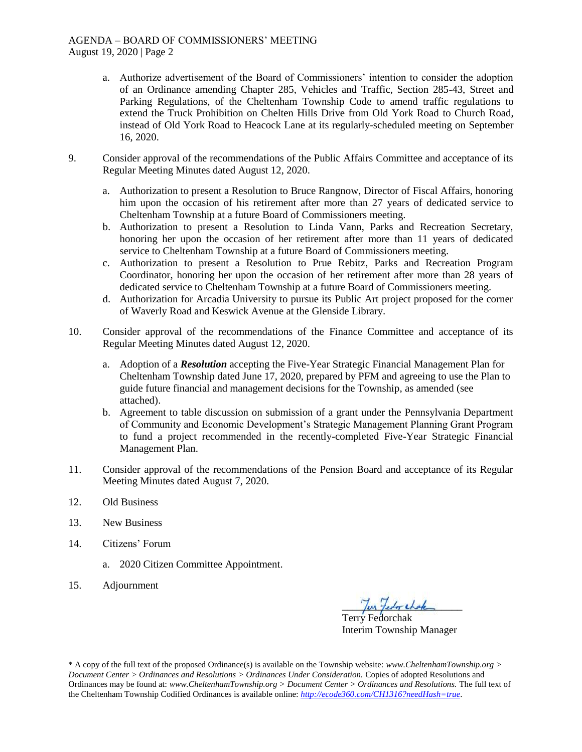- a. Authorize advertisement of the Board of Commissioners' intention to consider the adoption of an Ordinance amending Chapter 285, Vehicles and Traffic, Section 285-43, Street and Parking Regulations, of the Cheltenham Township Code to amend traffic regulations to extend the Truck Prohibition on Chelten Hills Drive from Old York Road to Church Road, instead of Old York Road to Heacock Lane at its regularly-scheduled meeting on September 16, 2020.
- 9. Consider approval of the recommendations of the Public Affairs Committee and acceptance of its Regular Meeting Minutes dated August 12, 2020.
	- a. Authorization to present a Resolution to Bruce Rangnow, Director of Fiscal Affairs, honoring him upon the occasion of his retirement after more than 27 years of dedicated service to Cheltenham Township at a future Board of Commissioners meeting.
	- b. Authorization to present a Resolution to Linda Vann, Parks and Recreation Secretary, honoring her upon the occasion of her retirement after more than 11 years of dedicated service to Cheltenham Township at a future Board of Commissioners meeting.
	- c. Authorization to present a Resolution to Prue Rebitz, Parks and Recreation Program Coordinator, honoring her upon the occasion of her retirement after more than 28 years of dedicated service to Cheltenham Township at a future Board of Commissioners meeting.
	- d. Authorization for Arcadia University to pursue its Public Art project proposed for the corner of Waverly Road and Keswick Avenue at the Glenside Library.
- 10. Consider approval of the recommendations of the Finance Committee and acceptance of its Regular Meeting Minutes dated August 12, 2020.
	- a. Adoption of a *Resolution* accepting the Five-Year Strategic Financial Management Plan for Cheltenham Township dated June 17, 2020, prepared by PFM and agreeing to use the Plan to guide future financial and management decisions for the Township, as amended (see attached).
	- b. Agreement to table discussion on submission of a grant under the Pennsylvania Department of Community and Economic Development's Strategic Management Planning Grant Program to fund a project recommended in the recently-completed Five-Year Strategic Financial Management Plan.
- 11. Consider approval of the recommendations of the Pension Board and acceptance of its Regular Meeting Minutes dated August 7, 2020.
- 12. Old Business
- 13. New Business
- 14. Citizens' Forum
	- a. 2020 Citizen Committee Appointment.
- 15. Adjournment

for federation

Terry Fedorchak Interim Township Manager

\* A copy of the full text of the proposed Ordinance(s) is available on the Township website: *www.CheltenhamTownship.org > Document Center > Ordinances and Resolutions > Ordinances Under Consideration.* Copies of adopted Resolutions and Ordinances may be found at: *www.CheltenhamTownship.org > Document Center > Ordinances and Resolutions.* The full text of the Cheltenham Township Codified Ordinances is available online: *<http://ecode360.com/CH1316?needHash=true>*.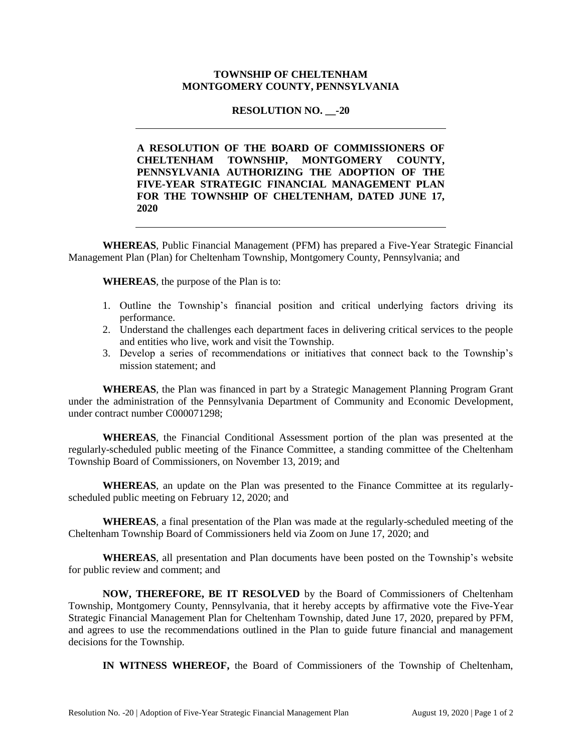#### **TOWNSHIP OF CHELTENHAM MONTGOMERY COUNTY, PENNSYLVANIA**

#### **RESOLUTION NO.** -20

**A RESOLUTION OF THE BOARD OF COMMISSIONERS OF CHELTENHAM TOWNSHIP, MONTGOMERY COUNTY, PENNSYLVANIA AUTHORIZING THE ADOPTION OF THE FIVE-YEAR STRATEGIC FINANCIAL MANAGEMENT PLAN FOR THE TOWNSHIP OF CHELTENHAM, DATED JUNE 17, 2020**

**WHEREAS**, Public Financial Management (PFM) has prepared a Five-Year Strategic Financial Management Plan (Plan) for Cheltenham Township, Montgomery County, Pennsylvania; and

**WHEREAS**, the purpose of the Plan is to:

- 1. Outline the Township's financial position and critical underlying factors driving its performance.
- 2. Understand the challenges each department faces in delivering critical services to the people and entities who live, work and visit the Township.
- 3. Develop a series of recommendations or initiatives that connect back to the Township's mission statement; and

**WHEREAS**, the Plan was financed in part by a Strategic Management Planning Program Grant under the administration of the Pennsylvania Department of Community and Economic Development, under contract number C000071298;

**WHEREAS**, the Financial Conditional Assessment portion of the plan was presented at the regularly-scheduled public meeting of the Finance Committee, a standing committee of the Cheltenham Township Board of Commissioners, on November 13, 2019; and

**WHEREAS**, an update on the Plan was presented to the Finance Committee at its regularlyscheduled public meeting on February 12, 2020; and

**WHEREAS**, a final presentation of the Plan was made at the regularly-scheduled meeting of the Cheltenham Township Board of Commissioners held via Zoom on June 17, 2020; and

**WHEREAS**, all presentation and Plan documents have been posted on the Township's website for public review and comment; and

**NOW, THEREFORE, BE IT RESOLVED** by the Board of Commissioners of Cheltenham Township, Montgomery County, Pennsylvania, that it hereby accepts by affirmative vote the Five-Year Strategic Financial Management Plan for Cheltenham Township, dated June 17, 2020, prepared by PFM, and agrees to use the recommendations outlined in the Plan to guide future financial and management decisions for the Township.

**IN WITNESS WHEREOF,** the Board of Commissioners of the Township of Cheltenham,